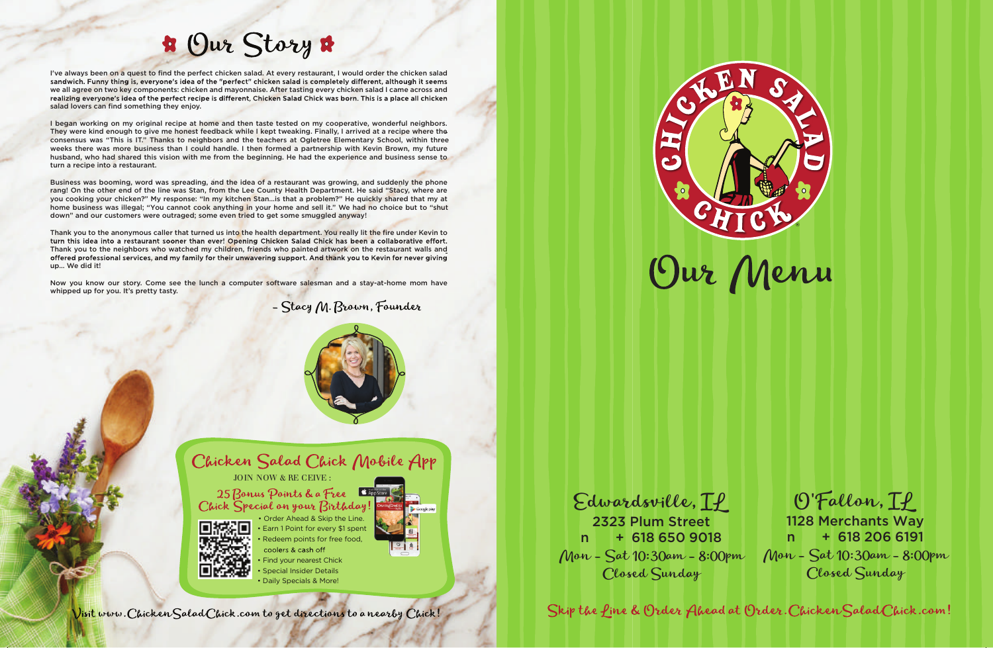

- coolers & cash off Find your nearest Chick
- Special Insider Details
- Daily Specials & More!

Visit www. Chicken Salad Chick.com to get directions to a nearby Chick!

## **B** Our Story

I've always been on a quest to find the perfect chicken salad. At every restaurant, I would order the chicken salad sandwich. Funny thing is, everyone's idea of the "perfect" chicken salad is completely different, although it seems we all agree on two key components: chicken and mayonnaise. After tasting every chicken salad I came across and realizing everyone's idea of the perfect recipe is different, Chicken Salad Chick was born. This is a place all chicken salad lovers can find something they enjoy.

I began working on my original recipe at home and then taste tested on my cooperative, wonderful neighbors. They were kind enough to give me honest feedback while I kept tweaking. Finally, I arrived at a recipe where the consensus was "This is IT." Thanks to neighbors and the teachers at Ogletree Elementary School, within three weeks there was more business than I could handle. I then formed a partnership with Kevin Brown, my future husband, who had shared this vision with me from the beginning. He had the experience and business sense to turn a recipe into a restaurant.

Business was booming, word was spreading, and the idea of a restaurant was growing, and suddenly the phone rang! On the other end of the line was Stan, from the Lee County Health Department. He said "Stacy, where are you cooking your chicken?" My response: "In my kitchen Stan…is that a problem?" He quickly shared that my at home business was illegal; "You cannot cook anything in your home and sell it." We had no choice but to "shut down" and our customers were outraged; some even tried to get some smuggled anyway!

Thank you to the anonymous caller that turned us into the health department. You really lit the fire under Kevin to turn this idea into a restaurant sooner than ever! Opening Chicken Salad Chick has been a collaborative effort. Thank you to the neighbors who watched my children, friends who painted artwork on the restaurant walls and offered professional services, and my family for their unwavering support. And thank you to Kevin for never giving up… We did it!

Now you know our story. Come see the lunch a computer software salesman and a stay-at-home mom have whipped up for you. It's pretty tasty.

- Stacy M. Brown, Founder





JOIN NOW & RE CEIVE :

25 Bonus Points & a Free Chick Special on your Birthday!



• Earn 1 Point for every \$1 spent Redeem points for free food, • Order Ahead & Skip the Line.

Edwardsville, IL O'Fallon, IL 2323 Plum Street  $n + 618 650 9018$ Mon - Sat 10:30am - 8:00pm Mon - Sat 10:30am - 8:00pm Closed Sunday 1128 Merchants Way  $n + 618 206 6191$ Closed Sunday

Skip the fine & Order Ahead at Order. Chicken Salad Chick.com!